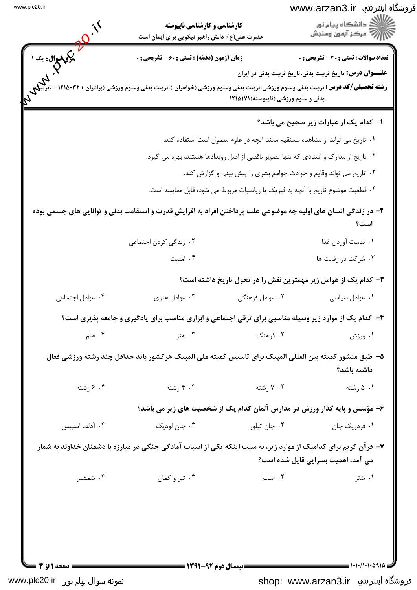| فروشگاه اینترنتي www.arzan3.ir |  |  |
|--------------------------------|--|--|
|--------------------------------|--|--|

| .<br>سر <b>کی سوال :</b> یک ۱ | <b>زمان آزمون (دقیقه) : تستی : 60 ٪ تشریحی : 0</b><br><b>رشته تحصیلی/کد درس:</b> تربیت بدنی وعلوم ورزشی،تربیت بدنی وعلوم ورزشی (خواهران )،تربیت بدنی وعلوم ورزشی (برادران ) ۱۲۱۵۰۳۲ | بدنی و علوم ورزشی (ناپیوسته)۱۲۱۵۱۷۱                                                 | تعداد سوالات : تستي : 30 ٪ تشريحي : 0<br><b>عنـــوان درس:</b> تاریخ تربیت بدنی،تاریخ تربیت بدنی در ایران |
|-------------------------------|-------------------------------------------------------------------------------------------------------------------------------------------------------------------------------------|-------------------------------------------------------------------------------------|----------------------------------------------------------------------------------------------------------|
|                               |                                                                                                                                                                                     |                                                                                     | ا- كدام يك از عبارات زير صحيح مي باشد؟                                                                   |
|                               |                                                                                                                                                                                     | ۰۱ تاریخ می تواند از مشاهده مستقیم مانند آنچه در علوم معمول است استفاده کند.        |                                                                                                          |
|                               |                                                                                                                                                                                     | ۰۲ تاریخ از مدارک و اسنادی که تنها تصویر ناقصی از اصل رویدادها هستند، بهره می گیرد. |                                                                                                          |
|                               |                                                                                                                                                                                     | ۰۳ تاریخ می تواند وقایع و حوادث جوامع بشری را پیش بینی و گزارش کند.                 |                                                                                                          |
|                               |                                                                                                                                                                                     | ۰۴ قطعیت موضوع تاریخ با آنچه به فیزیک یا ریاضیات مربوط می شود، قابل مقایسه است.     |                                                                                                          |
|                               | ۲- در زندگی انسان های اولیه چه موضوعی علت پرداختن افراد به افزایش قدرت و استقامت بدنی و توانایی های جسمی بوده                                                                       |                                                                                     | است؟                                                                                                     |
|                               | ۰۲ زندگی کردن اجتما <i>ع</i> ی                                                                                                                                                      |                                                                                     | ٠١. بدست آوردن غذا                                                                                       |
|                               | ۰۴ امنیت                                                                                                                                                                            |                                                                                     | ۰۳ شرکت در رقابت ها                                                                                      |
|                               |                                                                                                                                                                                     |                                                                                     | ۳– کدام یک از عوامل زیر مهمترین نقش را در تحول تاریخ داشته است؟                                          |
| ۰۴ عوامل اجتما <i>عی</i>      | ۰۳ عوامل هنری                                                                                                                                                                       | ۰۲ عوامل فرهنگی                                                                     | ۰۱ عوامل سیاسی                                                                                           |
|                               | ۴- کدام یک از موارد زیر وسیله مناسبی برای ترقی اجتماعی و ابزاری مناسب برای یادگیری و جامعه پذیری است؟                                                                               |                                                                                     |                                                                                                          |
| ۰۴ علم                        | ۰۳ هنر                                                                                                                                                                              | ۲. فرهنگ                                                                            | ۰۱ ورزش                                                                                                  |
|                               | ۵− طبق منشور کمیته بین المللی المپیک برای تاسیس کمیته ملی المپیک هرکشور باید حداقل چند رشته ورزشی فعال                                                                              |                                                                                     | داشته باشد؟                                                                                              |
| ۰۴ گرشته                      | ۰۳ رشته                                                                                                                                                                             | ۰۲ (شته                                                                             | ۰۱ ۵ رشته                                                                                                |
|                               |                                                                                                                                                                                     |                                                                                     | ۶– مؤسس و پایه گذار ورزش در مدارس آلمان کدام یک از شخصیت های زیر می باشد؟                                |
| ۰۴ آدلف اسپیس                 | ۰۳ جان لودیک                                                                                                                                                                        | ۰۲ جان تیلور                                                                        | ۰۱ فردریک جان                                                                                            |
|                               | ۷– قرآن کریم برای کدامیک از موارد زیر، به سبب اینکه یکی از اسباب آمادگی جنگی در مبارزه با دشمنان خداوند به شمار                                                                     |                                                                                     | می آمد، اهمیت بسزایی قایل شده است؟                                                                       |
| ۰۴ شمشیر                      | ۰۳ تیر و کمان                                                                                                                                                                       | ۰۲ اسب                                                                              | ۰۱ شتر                                                                                                   |
|                               |                                                                                                                                                                                     |                                                                                     |                                                                                                          |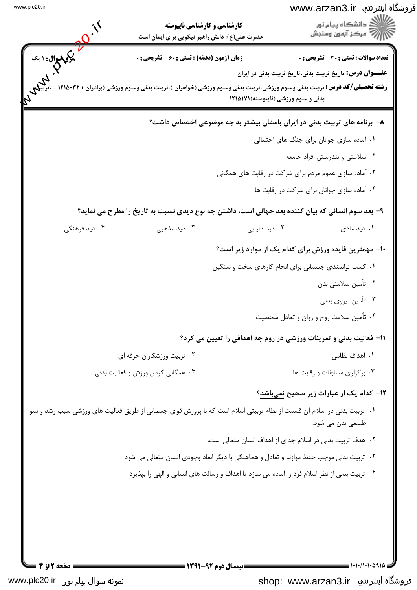## فروشگاه اینترنتی www.arzan3.ir

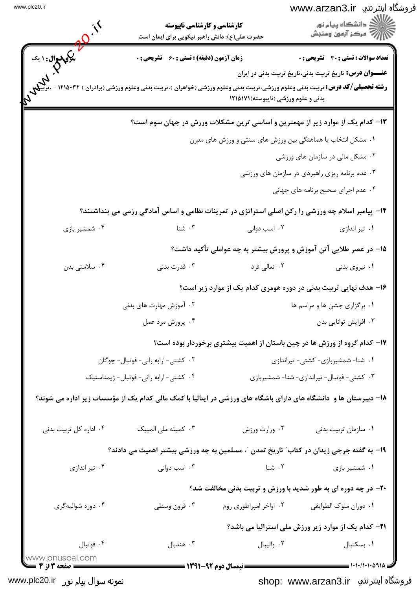| فروشگاه اینترنتی www.arzan3.ir |           |
|--------------------------------|-----------|
|                                | $\ddotsc$ |

|                                      | <b>کارشناسی و کارشناسی ناپیوسته</b><br>حضرت علی(ع): دانش راهبر نیکویی برای ایمان است |                                     | ڻ دانشگاه پيام نور<br>ر آمرڪز آزمون وسنڊش                                                                                                                                                          |
|--------------------------------------|--------------------------------------------------------------------------------------|-------------------------------------|----------------------------------------------------------------------------------------------------------------------------------------------------------------------------------------------------|
| ما سري سوال: ۱ يک<br>مرکم<br>م       | زمان آزمون (دقیقه) : تستی : 60 ٪ تشریحی : 0                                          |                                     | تعداد سوالات : تستي : 30 ٪ تشريحي : 0                                                                                                                                                              |
|                                      |                                                                                      | بدنی و علوم ورزشی (ناپیوسته)۱۲۱۵۱۷۱ | <b>عنـــوان درس:</b> تاریخ تربیت بدنی،تاریخ تربیت بدنی در ایران<br><b>رشته تحصیلی/کد درس:</b> تربیت بدنی وعلوم ورزشی،تربیت بدنی وعلوم ورزشی (خواهران )،تربیت بدنی وعلوم ورزشی (برادران ) ۱۲۱۵۰۳۲ - |
|                                      |                                                                                      |                                     | ۱۳- کدام یک از موارد زیر از مهمترین و اساسی ترین مشکلات ورزش در جهان سوم است؟                                                                                                                      |
|                                      |                                                                                      |                                     | ۰۱ مشکل انتخاب یا هماهنگی بین ورزش های سنتی و ورزش های مدرن                                                                                                                                        |
|                                      |                                                                                      |                                     | ۰۲ مشکل مالی در سازمان های ورزشی                                                                                                                                                                   |
|                                      |                                                                                      |                                     | ۰۳ عدم برنامه ریزی راهبردی در سازمان های ورزشی                                                                                                                                                     |
|                                      |                                                                                      |                                     | ۰۴ عدم اجرای صحیح برنامه های جهانی                                                                                                                                                                 |
|                                      |                                                                                      |                                     | ۱۴- پیامبر اسلام چه ورزشی را رکن اصلی استراتژی در تمرینات نظامی و اساس آمادگی رزمی می پنداشتند؟                                                                                                    |
| ۰۴ شمشیر بازی                        | ۰۳ شنا                                                                               | ۰۲ اسب دوانی                        | ۰۱ تیر اندازی                                                                                                                                                                                      |
|                                      |                                                                                      |                                     | ۱۵– در عصر طلایی آتن آموزش و پرورش بیشتر به چه عواملی تأکید داشت؟                                                                                                                                  |
| ۰۴ سلامتی بدن                        | ۰۳ قدرت بدنی                                                                         | ۰۲ تعالی فرد                        | ۰۱ نیروی بدنی                                                                                                                                                                                      |
|                                      |                                                                                      |                                     | ۱۶– هدف نهایی تربیت بدنی در دوره هومری کدام یک از موارد زیر است؟                                                                                                                                   |
|                                      | ۰۲ آموزش مهارت های بدنی                                                              |                                     | ۰۱ برگزاری جشن ها و مراسم ها                                                                                                                                                                       |
|                                      | ۰۴ پرورش مرد عمل                                                                     |                                     | ۰۳ افزایش توانایی بدن                                                                                                                                                                              |
|                                      |                                                                                      |                                     | ۱۷- کدام گروه از ورزش ها در چین باستان از اهمیت بیشتری برخوردار بوده است؟                                                                                                                          |
|                                      | ٠٢ كشتى-ارابه رانى- فوتبال- چوكان                                                    |                                     | ۰۱ شنا- شمشیربازی- کشتی- تیراندازی                                                                                                                                                                 |
|                                      | ۰۴ کشتی-ارابه رانی-فوتبال- ژیمناستیک                                                 |                                     | ۰۳ کشتی- فوتبال- تیراندازی- شنا- شمشیربازی                                                                                                                                                         |
|                                      |                                                                                      |                                     | ۱۸– دبیرستان ها و  دانشگاه های دارای باشگاه های ورزشی در ایتالیا با کمک مالی کدام یک از مؤسسات زیر اداره می شوند؟                                                                                  |
| ۰۴ اداره کل تربیت بدنی               | ۰۳ کمیته ملی المپیک                                                                  | ٠٢ وزارت ورزش                       | ٠١ سازمان تربيت بدنى                                                                                                                                                                               |
|                                      |                                                                                      |                                     | ۱۹- به گفته جرجی زیدان در کتاب ؒ تاریخ تمدن ؒ، مسلمین به چه ورزشی بیشتر اهمیت می دادند؟                                                                                                            |
| ۰۴ تیر اندازی                        | ۰۳ اسب دوانی                                                                         | ۰۲ شنا                              | ۰۱ شمشیر بازی                                                                                                                                                                                      |
|                                      |                                                                                      |                                     | <b>۲۰</b> - در چه دوره ای به طور شدید با ورزش و تربیت بدنی مخالفت شد؟                                                                                                                              |
| ۰۴ دوره شواليهگري                    | ۰۳ قرون وسطى                                                                         | ۰۲ اواخر امپراطوری روم              | ٠١ دوران ملوک الطوايفي                                                                                                                                                                             |
|                                      |                                                                                      |                                     | <b>۲۱</b> - کدام یک از موارد زیر ورزش ملی استرالیا می باشد؟                                                                                                                                        |
| ۰۴ فوتبال                            | ۰۳ هندبال                                                                            | ۰۲ واليبال                          | ٠١. بسكتبال                                                                                                                                                                                        |
| www.pnusoal.com<br>ـــ صفحه 3 از 4 = |                                                                                      |                                     |                                                                                                                                                                                                    |

نمونه سوال پیا<sub>م</sub> نور www.plc20.ir

shop: www.arzan3.ir فروشگاه اینترنتي